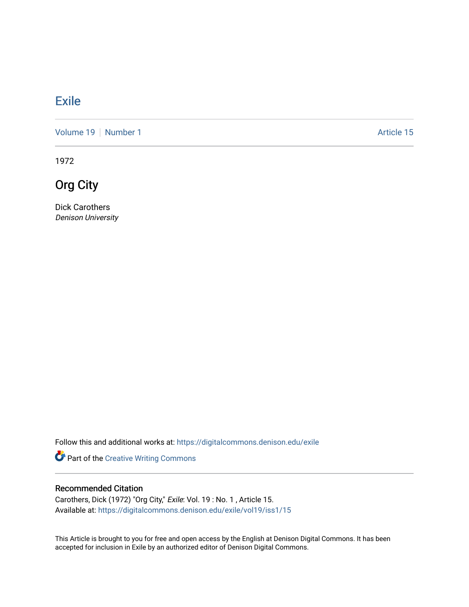## [Exile](https://digitalcommons.denison.edu/exile)

[Volume 19](https://digitalcommons.denison.edu/exile/vol19) [Number 1](https://digitalcommons.denison.edu/exile/vol19/iss1) Article 15

1972

Org City

Dick Carothers Denison University

Follow this and additional works at: [https://digitalcommons.denison.edu/exile](https://digitalcommons.denison.edu/exile?utm_source=digitalcommons.denison.edu%2Fexile%2Fvol19%2Fiss1%2F15&utm_medium=PDF&utm_campaign=PDFCoverPages) 

Part of the [Creative Writing Commons](http://network.bepress.com/hgg/discipline/574?utm_source=digitalcommons.denison.edu%2Fexile%2Fvol19%2Fiss1%2F15&utm_medium=PDF&utm_campaign=PDFCoverPages) 

## Recommended Citation

Carothers, Dick (1972) "Org City," Exile: Vol. 19 : No. 1 , Article 15. Available at: [https://digitalcommons.denison.edu/exile/vol19/iss1/15](https://digitalcommons.denison.edu/exile/vol19/iss1/15?utm_source=digitalcommons.denison.edu%2Fexile%2Fvol19%2Fiss1%2F15&utm_medium=PDF&utm_campaign=PDFCoverPages)

This Article is brought to you for free and open access by the English at Denison Digital Commons. It has been accepted for inclusion in Exile by an authorized editor of Denison Digital Commons.